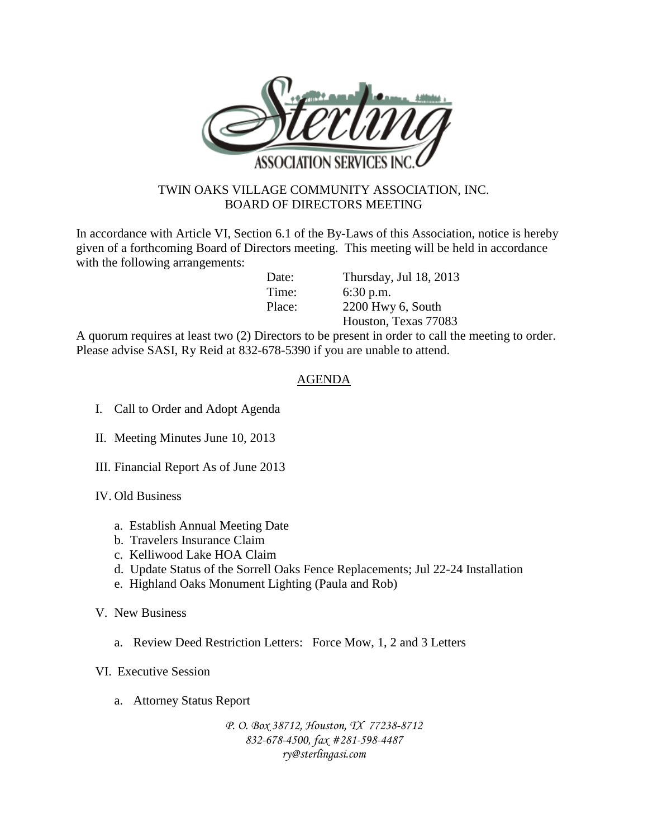

## TWIN OAKS VILLAGE COMMUNITY ASSOCIATION, INC. BOARD OF DIRECTORS MEETING

In accordance with Article VI, Section 6.1 of the By-Laws of this Association, notice is hereby given of a forthcoming Board of Directors meeting. This meeting will be held in accordance with the following arrangements:

Date: Thursday, Jul 18, 2013 Time: 6:30 p.m. Place: 2200 Hwy 6, South Houston, Texas 77083

A quorum requires at least two (2) Directors to be present in order to call the meeting to order. Please advise SASI, Ry Reid at 832-678-5390 if you are unable to attend.

## AGENDA

- I. Call to Order and Adopt Agenda
- II. Meeting Minutes June 10, 2013
- III. Financial Report As of June 2013
- IV. Old Business
	- a. Establish Annual Meeting Date
	- b. Travelers Insurance Claim
	- c. Kelliwood Lake HOA Claim
	- d. Update Status of the Sorrell Oaks Fence Replacements; Jul 22-24 Installation
	- e. Highland Oaks Monument Lighting (Paula and Rob)
- V. New Business
	- a. Review Deed Restriction Letters: Force Mow, 1, 2 and 3 Letters
- VI. Executive Session
	- a. Attorney Status Report

*P. O. Box 38712, Houston, TX 77238-8712 832-678-4500, fax #281-598-4487 ry@sterlingasi.com*